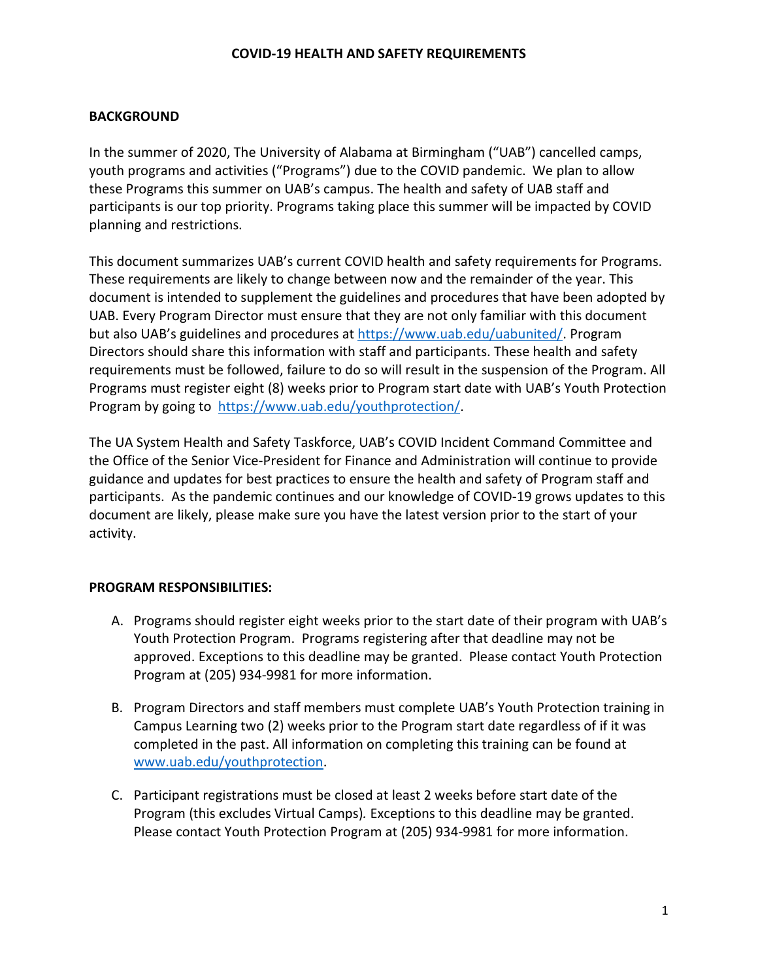### **COVID-19 HEALTH AND SAFETY REQUIREMENTS**

#### **BACKGROUND**

In the summer of 2020, The University of Alabama at Birmingham ("UAB") cancelled camps, youth programs and activities ("Programs") due to the COVID pandemic. We plan to allow these Programs this summer on UAB's campus. The health and safety of UAB staff and participants is our top priority. Programs taking place this summer will be impacted by COVID planning and restrictions.

This document summarizes UAB's current COVID health and safety requirements for Programs. These requirements are likely to change between now and the remainder of the year. This document is intended to supplement the guidelines and procedures that have been adopted by UAB. Every Program Director must ensure that they are not only familiar with this document but also UAB's guidelines and procedures at [https://www.uab.edu/uabunited/.](https://www.uab.edu/uabunited/) Program Directors should share this information with staff and participants. These health and safety requirements must be followed, failure to do so will result in the suspension of the Program. All Programs must register eight (8) weeks prior to Program start date with UAB's Youth Protection Program by going to [https://www.uab.edu/youthprotection/.](https://www.uab.edu/youthprotection/)

The UA System Health and Safety Taskforce, UAB's COVID Incident Command Committee and the Office of the Senior Vice-President for Finance and Administration will continue to provide guidance and updates for best practices to ensure the health and safety of Program staff and participants. As the pandemic continues and our knowledge of COVID-19 grows updates to this document are likely, please make sure you have the latest version prior to the start of your activity.

#### **PROGRAM RESPONSIBILITIES:**

- A. Programs should register eight weeks prior to the start date of their program with UAB's Youth Protection Program. Programs registering after that deadline may not be approved. Exceptions to this deadline may be granted. Please contact Youth Protection Program at (205) 934-9981 for more information.
- B. Program Directors and staff members must complete UAB's Youth Protection training in Campus Learning two (2) weeks prior to the Program start date regardless of if it was completed in the past. All information on completing this training can be found at [www.uab.edu/youthprotection.](http://www.uab.edu/youthprotection)
- C. Participant registrations must be closed at least 2 weeks before start date of the Program (this excludes Virtual Camps)*.* Exceptions to this deadline may be granted. Please contact Youth Protection Program at (205) 934-9981 for more information.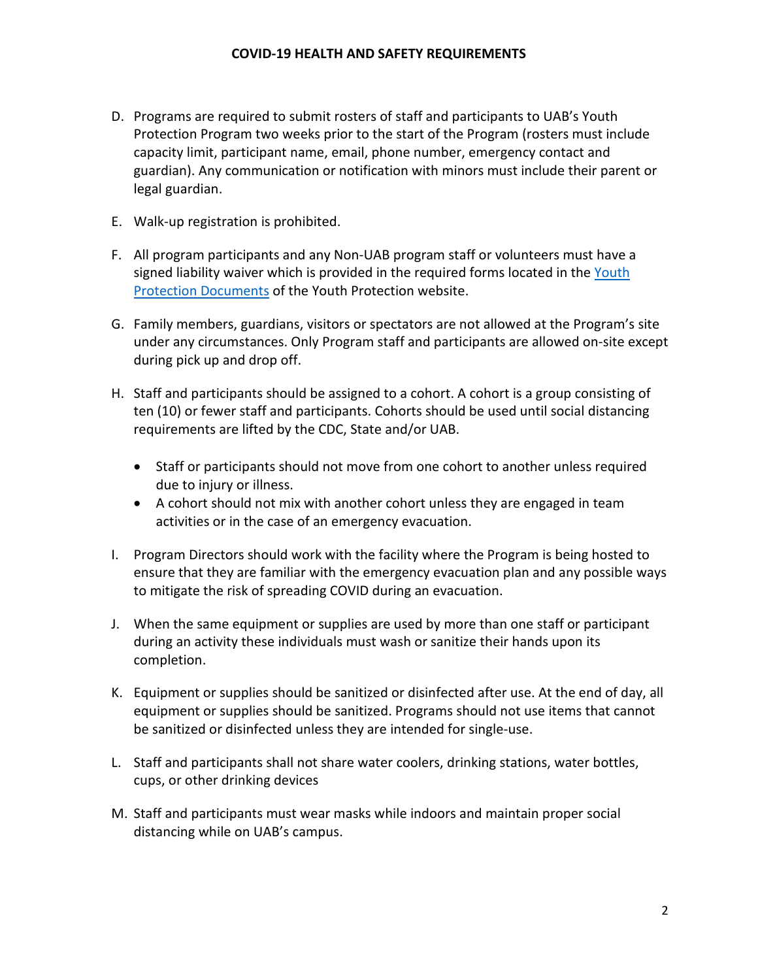- D. Programs are required to submit rosters of staff and participants to UAB's Youth Protection Program two weeks prior to the start of the Program (rosters must include capacity limit, participant name, email, phone number, emergency contact and guardian). Any communication or notification with minors must include their parent or legal guardian.
- E. Walk-up registration is prohibited.
- F. All program participants and any Non-UAB program staff or volunteers must have a signed liability waiver which is provided in the required forms located in the [Youth](https://www.uab.edu/youthprotection/documents)  [Protection Documents](https://www.uab.edu/youthprotection/documents) of the Youth Protection website.
- G. Family members, guardians, visitors or spectators are not allowed at the Program's site under any circumstances. Only Program staff and participants are allowed on-site except during pick up and drop off.
- H. Staff and participants should be assigned to a cohort. A cohort is a group consisting of ten (10) or fewer staff and participants. Cohorts should be used until social distancing requirements are lifted by the CDC, State and/or UAB.
	- Staff or participants should not move from one cohort to another unless required due to injury or illness.
	- A cohort should not mix with another cohort unless they are engaged in team activities or in the case of an emergency evacuation.
- I. Program Directors should work with the facility where the Program is being hosted to ensure that they are familiar with the emergency evacuation plan and any possible ways to mitigate the risk of spreading COVID during an evacuation.
- J. When the same equipment or supplies are used by more than one staff or participant during an activity these individuals must wash or sanitize their hands upon its completion.
- K. Equipment or supplies should be sanitized or disinfected after use. At the end of day, all equipment or supplies should be sanitized. Programs should not use items that cannot be sanitized or disinfected unless they are intended for single-use.
- L. Staff and participants shall not share water coolers, drinking stations, water bottles, cups, or other drinking devices
- M. Staff and participants must wear masks while indoors and maintain proper social distancing while on UAB's campus.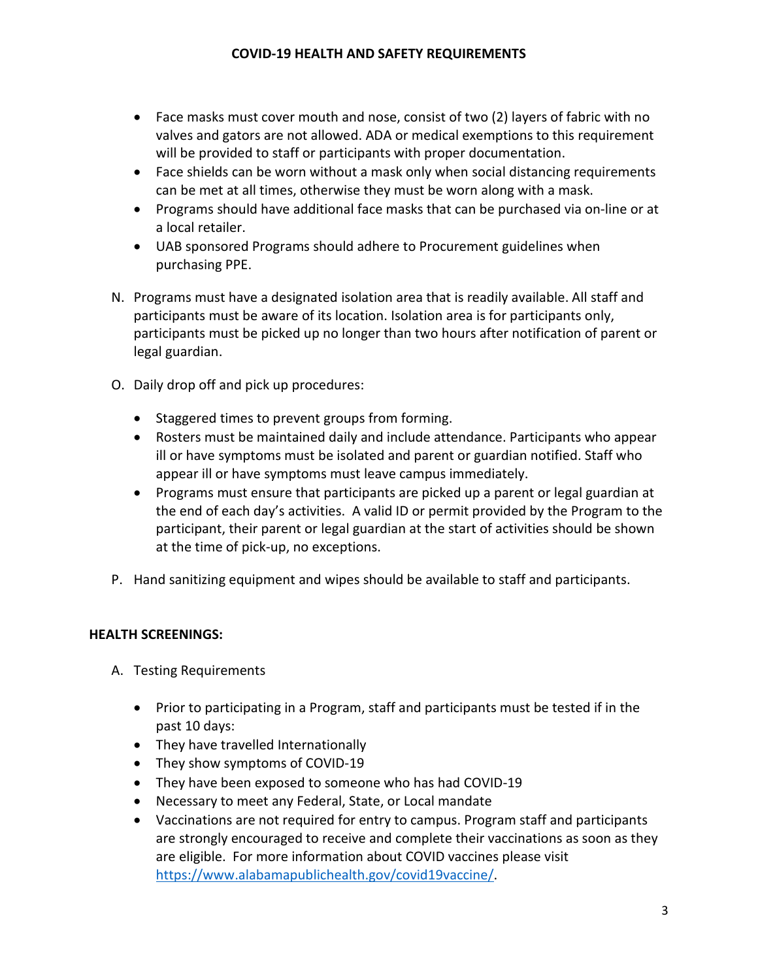- Face masks must cover mouth and nose, consist of two (2) layers of fabric with no valves and gators are not allowed. ADA or medical exemptions to this requirement will be provided to staff or participants with proper documentation.
- Face shields can be worn without a mask only when social distancing requirements can be met at all times, otherwise they must be worn along with a mask.
- Programs should have additional face masks that can be purchased via on-line or at a local retailer.
- UAB sponsored Programs should adhere to Procurement guidelines when purchasing PPE.
- N. Programs must have a designated isolation area that is readily available. All staff and participants must be aware of its location. Isolation area is for participants only, participants must be picked up no longer than two hours after notification of parent or legal guardian.
- O. Daily drop off and pick up procedures:
	- Staggered times to prevent groups from forming.
	- Rosters must be maintained daily and include attendance. Participants who appear ill or have symptoms must be isolated and parent or guardian notified. Staff who appear ill or have symptoms must leave campus immediately.
	- Programs must ensure that participants are picked up a parent or legal guardian at the end of each day's activities. A valid ID or permit provided by the Program to the participant, their parent or legal guardian at the start of activities should be shown at the time of pick-up, no exceptions.
- P. Hand sanitizing equipment and wipes should be available to staff and participants.

## **HEALTH SCREENINGS:**

- A. Testing Requirements
	- Prior to participating in a Program, staff and participants must be tested if in the past 10 days:
	- They have travelled Internationally
	- They show symptoms of COVID-19
	- They have been exposed to someone who has had COVID-19
	- Necessary to meet any Federal, State, or Local mandate
	- Vaccinations are not required for entry to campus. Program staff and participants are strongly encouraged to receive and complete their vaccinations as soon as they are eligible. For more information about COVID vaccines please visit https://www.alabamapublichealth.gov/covid19vaccine/.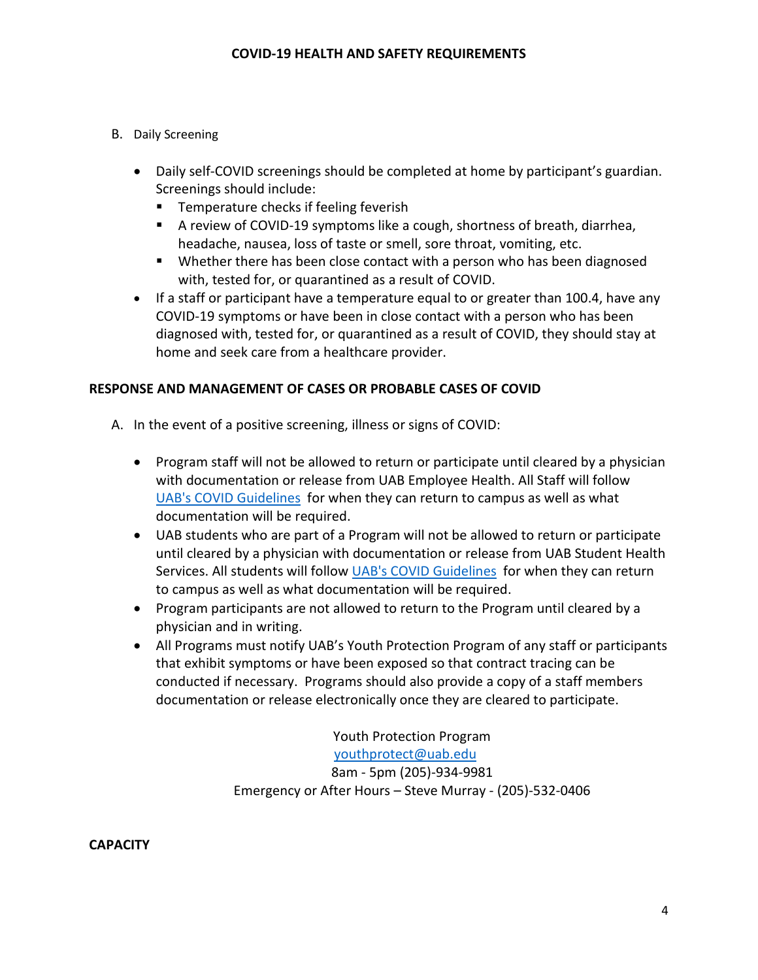### B. Daily Screening

- Daily self-COVID screenings should be completed at home by participant's guardian. Screenings should include:
	- **Temperature checks if feeling feverish**
	- A review of COVID-19 symptoms like a cough, shortness of breath, diarrhea, headache, nausea, loss of taste or smell, sore throat, vomiting, etc.
	- Whether there has been close contact with a person who has been diagnosed with, tested for, or quarantined as a result of COVID.
- If a staff or participant have a temperature equal to or greater than 100.4, have any COVID-19 symptoms or have been in close contact with a person who has been diagnosed with, tested for, or quarantined as a result of COVID, they should stay at home and seek care from a healthcare provider.

## **RESPONSE AND MANAGEMENT OF CASES OR PROBABLE CASES OF COVID**

- A. In the event of a positive screening, illness or signs of COVID:
	- Program staff will not be allowed to return or participate until cleared by a physician with documentation or release from UAB Employee Health. All Staff will follow [UAB's COVID Guidelines](https://www.uab.edu/uabunited/faculty-staff/health-safety) for when they can return to campus as well as what documentation will be required.
	- UAB students who are part of a Program will not be allowed to return or participate until cleared by a physician with documentation or release from UAB Student Health Services. All students will follow [UAB's COVID Guidelines](https://www.uab.edu/uabunited/faculty-staff/health-safety) for when they can return to campus as well as what documentation will be required.
	- Program participants are not allowed to return to the Program until cleared by a physician and in writing.
	- All Programs must notify UAB's Youth Protection Program of any staff or participants that exhibit symptoms or have been exposed so that contract tracing can be conducted if necessary. Programs should also provide a copy of a staff members documentation or release electronically once they are cleared to participate.

Youth Protection Program [youthprotect@uab.edu](mailto:youthprotect@uab.edu) 8am - 5pm (205)-934-9981 Emergency or After Hours – Steve Murray - (205)-532-0406

**CAPACITY**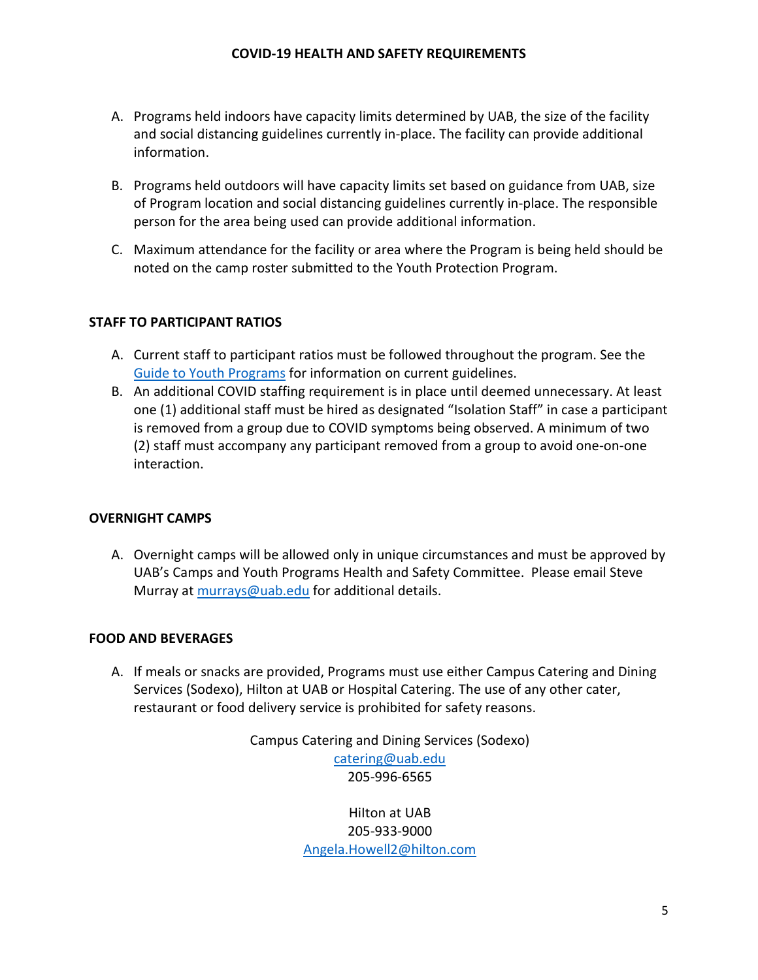- A. Programs held indoors have capacity limits determined by UAB, the size of the facility and social distancing guidelines currently in-place. The facility can provide additional information.
- B. Programs held outdoors will have capacity limits set based on guidance from UAB, size of Program location and social distancing guidelines currently in-place. The responsible person for the area being used can provide additional information.
- C. Maximum attendance for the facility or area where the Program is being held should be noted on the camp roster submitted to the Youth Protection Program.

## **STAFF TO PARTICIPANT RATIOS**

- A. Current staff to participant ratios must be followed throughout the program. See the [Guide to Youth Programs](https://www.uab.edu/youthprotection/images/documents/pdf/UAB_CPP_Guide_to_Youth_Programs_2019.pdf) for information on current guidelines.
- B. An additional COVID staffing requirement is in place until deemed unnecessary. At least one (1) additional staff must be hired as designated "Isolation Staff" in case a participant is removed from a group due to COVID symptoms being observed. A minimum of two (2) staff must accompany any participant removed from a group to avoid one-on-one interaction.

### **OVERNIGHT CAMPS**

A. Overnight camps will be allowed only in unique circumstances and must be approved by UAB's Camps and Youth Programs Health and Safety Committee. Please email Steve Murray at [murrays@uab.edu](mailto:murrays@uab.edu) for additional details.

### **FOOD AND BEVERAGES**

A. If meals or snacks are provided, Programs must use either Campus Catering and Dining Services (Sodexo), Hilton at UAB or Hospital Catering. The use of any other cater, restaurant or food delivery service is prohibited for safety reasons.

> Campus Catering and Dining Services (Sodexo) [catering@uab.edu](mailto:catering@uab.edu) 205-996-6565

> > HiIton at UAB 205-933-9000 [Angela.Howell2@hilton.com](mailto:Angela.Howell2@hilton.com)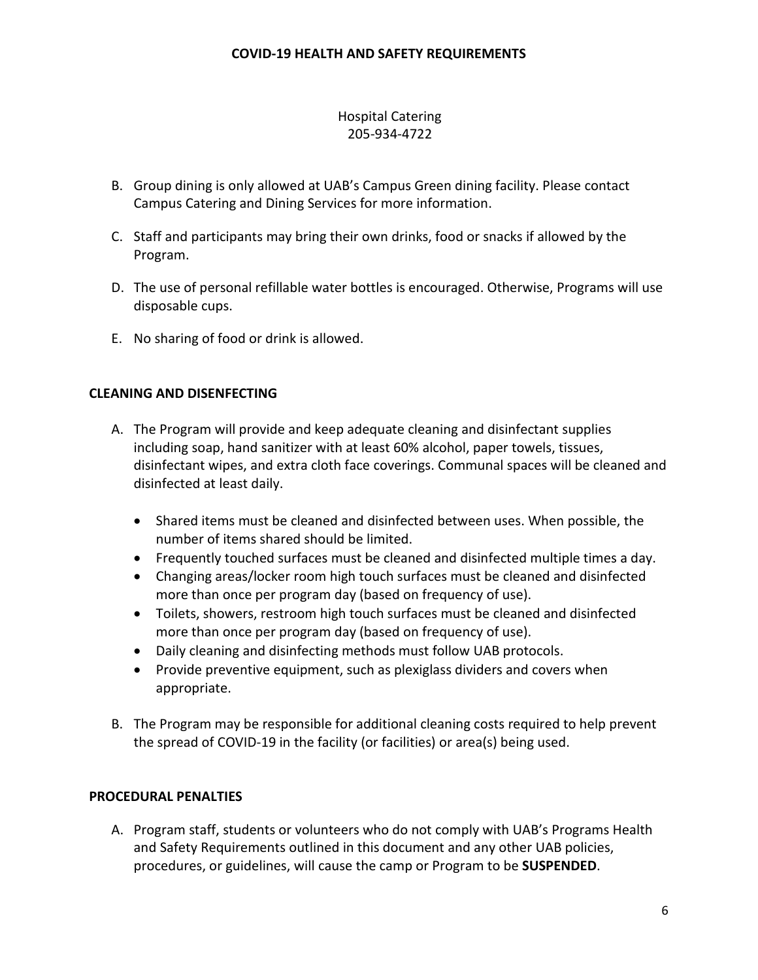# Hospital Catering 205-934-4722

- B. Group dining is only allowed at UAB's Campus Green dining facility. Please contact Campus Catering and Dining Services for more information.
- C. Staff and participants may bring their own drinks, food or snacks if allowed by the Program.
- D. The use of personal refillable water bottles is encouraged. Otherwise, Programs will use disposable cups.
- E. No sharing of food or drink is allowed.

## **CLEANING AND DISENFECTING**

- A. The Program will provide and keep adequate cleaning and disinfectant supplies including soap, hand sanitizer with at least 60% alcohol, paper towels, tissues, disinfectant wipes, and extra cloth face coverings. Communal spaces will be cleaned and disinfected at least daily.
	- Shared items must be cleaned and disinfected between uses. When possible, the number of items shared should be limited.
	- Frequently touched surfaces must be cleaned and disinfected multiple times a day.
	- Changing areas/locker room high touch surfaces must be cleaned and disinfected more than once per program day (based on frequency of use).
	- Toilets, showers, restroom high touch surfaces must be cleaned and disinfected more than once per program day (based on frequency of use).
	- Daily cleaning and disinfecting methods must follow UAB protocols.
	- Provide preventive equipment, such as plexiglass dividers and covers when appropriate.
- B. The Program may be responsible for additional cleaning costs required to help prevent the spread of COVID-19 in the facility (or facilities) or area(s) being used.

### **PROCEDURAL PENALTIES**

A. Program staff, students or volunteers who do not comply with UAB's Programs Health and Safety Requirements outlined in this document and any other UAB policies, procedures, or guidelines, will cause the camp or Program to be **SUSPENDED**.